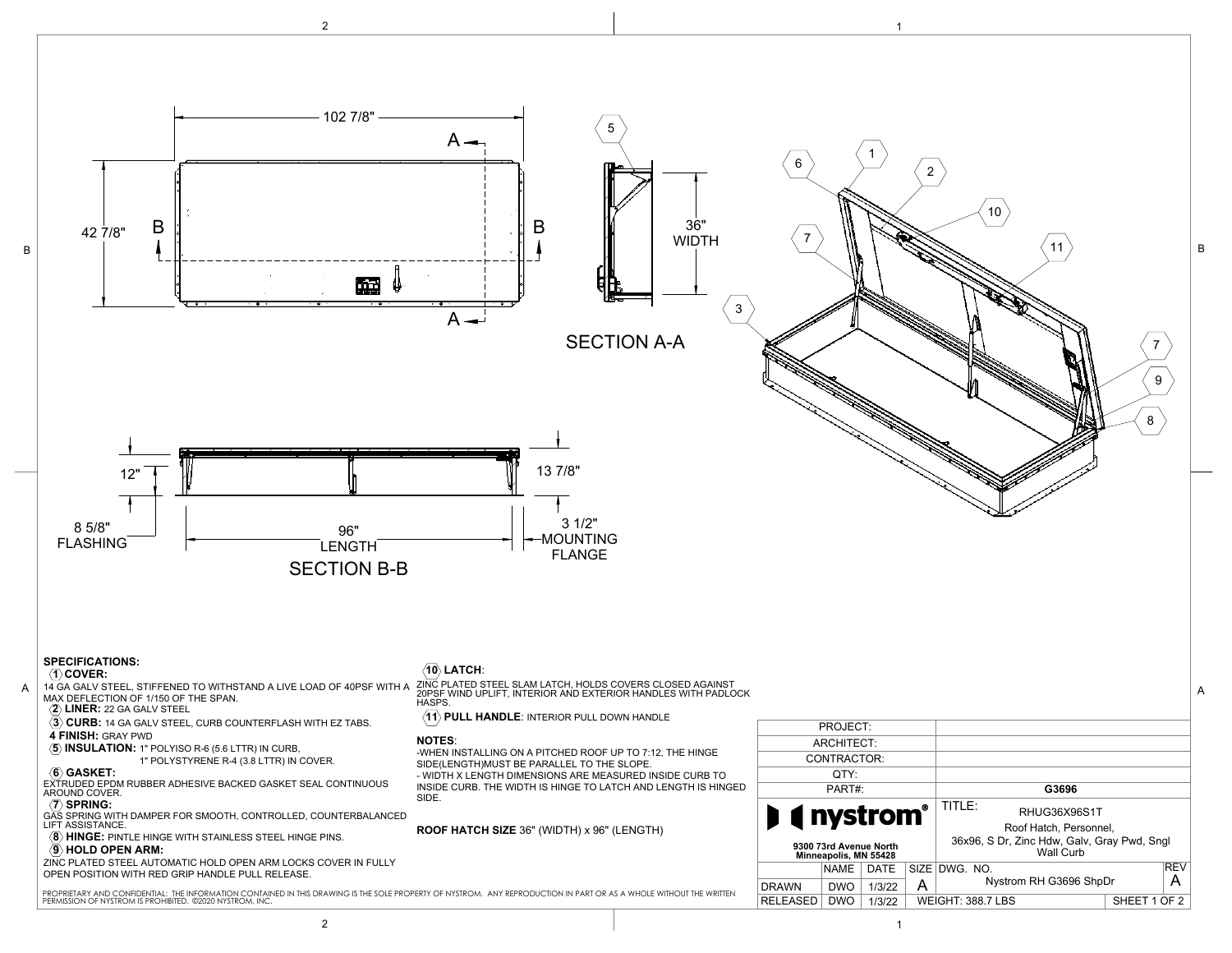